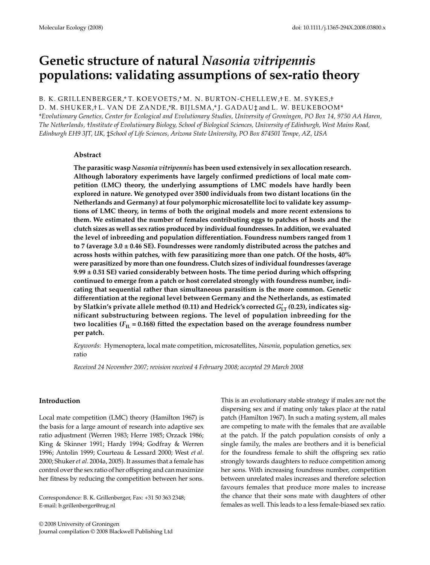# Blackwell Publishing Ltd **Genetic structure of natural** *Nasonia vitripennis* **populations: validating assumptions of sex-ratio theory**

# B. K. GRILLENBERGER,\* T. KOEVOETS,\* M. N. BURTON-CHELLEW,† E. M. SYKES,†

D. M. SHUKER,† L. VAN DE ZANDE,\*R. BIJLSMA,\* J. GADAU‡ and L. W. BEUKEBOOM\* \**Evolutionary Genetics, Center for Ecological and Evolutionary Studies, University of Groningen, PO Box 14, 9750 AA Haren, The Netherlands,* †*Institute of Evolutionary Biology, School of Biological Sciences, University of Edinburgh, West Mains Road, Edinburgh EH9 3JT, UK,* ‡*School of Life Sciences, Arizona State University, PO Box 874501 Tempe, AZ, USA*

# **Abstract**

**The parasitic wasp** *Nasonia vitripennis* **has been used extensively in sex allocation research. Although laboratory experiments have largely confirmed predictions of local mate competition (LMC) theory, the underlying assumptions of LMC models have hardly been explored in nature. We genotyped over 3500 individuals from two distant locations (in the Netherlands and Germany) at four polymorphic microsatellite loci to validate key assumptions of LMC theory, in terms of both the original models and more recent extensions to them. We estimated the number of females contributing eggs to patches of hosts and the clutch sizes as well as sex ratios produced by individual foundresses. In addition, we evaluated the level of inbreeding and population differentiation. Foundress numbers ranged from 1 to 7 (average 3.0 ± 0.46 SE). Foundresses were randomly distributed across the patches and across hosts within patches, with few parasitizing more than one patch. Of the hosts, 40% were parasitized by more than one foundress. Clutch sizes of individual foundresses (average 9.99 ± 0.51 SE) varied considerably between hosts. The time period during which offspring continued to emerge from a patch or host correlated strongly with foundress number, indicating that sequential rather than simultaneous parasitism is the more common. Genetic differentiation at the regional level between Germany and the Netherlands, as estimated by Slatkin's private allele method (0.11) and Hedrick's corrected** *G*′ **LT** *(***0.23), indicates significant substructuring between regions. The level of population inbreeding for the** two localities ( $F_{II}$  = 0.168) fitted the expectation based on the average foundress number **per patch.**

*Keywords*: Hymenoptera, local mate competition, microsatellites, *Nasonia*, population genetics, sex ratio

*Received 24 November 2007; revision received 4 February 2008; accepted 29 March 2008*

## **Introduction**

Local mate competition (LMC) theory (Hamilton 1967) is the basis for a large amount of research into adaptive sex ratio adjustment (Werren 1983; Herre 1985; Orzack 1986; King & Skinner 1991; Hardy 1994; Godfray & Werren 1996; Antolin 1999; Courteau & Lessard 2000; West *et al*. 2000; Shuker *et al*. 2004a, 2005). It assumes that a female has control over the sex ratio of her offspring and can maximize her fitness by reducing the competition between her sons.

Correspondence: B. K. Grillenberger, Fax: +31 50 363 2348; E-mail: b.grillenberger@rug.nl

This is an evolutionary stable strategy if males are not the dispersing sex and if mating only takes place at the natal patch (Hamilton 1967). In such a mating system, all males are competing to mate with the females that are available at the patch. If the patch population consists of only a single family, the males are brothers and it is beneficial for the foundress female to shift the offspring sex ratio strongly towards daughters to reduce competition among her sons. With increasing foundress number, competition between unrelated males increases and therefore selection favours females that produce more males to increase the chance that their sons mate with daughters of other females as well. This leads to a less female-biased sex ratio.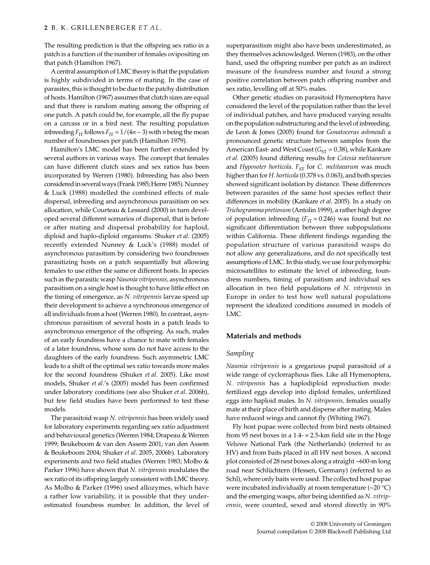The resulting prediction is that the offspring sex ratio in a patch is a function of the number of females ovipositing on that patch (Hamilton 1967).

A central assumption of LMC theory is that the population is highly subdivided in terms of mating. In the case of parasites, this is thought to be due to the patchy distribution of hosts. Hamilton (1967) assumes that clutch sizes are equal and that there is random mating among the offspring of one patch. A patch could be, for example, all the fly pupae on a carcass or in a bird nest. The resulting population inbreeding  $F_{\text{IT}}$  follows  $F_{\text{IT}}$  = 1/(4*n* − 3) with *n* being the mean number of foundresses per patch (Hamilton 1979).

Hamilton's LMC model has been further extended by several authors in various ways. The concept that females can have different clutch sizes and sex ratios has been incorporated by Werren (1980). Inbreeding has also been considered in several ways (Frank 1985; Herre 1985). Nunney & Luck (1988) modelled the combined effects of male dispersal, inbreeding and asynchronous parasitism on sex allocation, while Courteau & Lessard (2000) in turn developed several different scenarios of dispersal, that is before or after mating and dispersal probability for haploid, diploid and haplo-diploid organisms. Shuker *et al*. (2005) recently extended Nunney & Luck's (1988) model of asynchronous parasitism by considering two foundresses parasitizing hosts on a patch sequentially but allowing females to use either the same or different hosts. In species such as the parasitic wasp *Nasonia vitripennis,* asynchronous parasitism on a single host is thought to have little effect on the timing of emergence, as *N. vitripennis* larvae speed up their development to achieve a synchronous emergence of all individuals from a host (Werren 1980). In contrast, asynchronous parasitism of several hosts in a patch leads to asynchronous emergence of the offspring. As such, males of an early foundress have a chance to mate with females of a later foundress, whose sons do not have access to the daughters of the early foundress. Such asymmetric LMC leads to a shift of the optimal sex ratio towards more males for the second foundress (Shuker *et al*. 2005). Like most models, Shuker *et al*.'s (2005) model has been confirmed under laboratory conditions (see also Shuker *et al*. 2006b), but few field studies have been performed to test these models.

The parasitoid wasp *N. vitripennis* has been widely used for laboratory experiments regarding sex ratio adjustment and behavioural genetics (Werren 1984; Drapeau & Werren 1999; Beukeboom & van den Assem 2001; van den Assem & Beukeboom 2004; Shuker *et al*. 2005, 2006b). Laboratory experiments and two field studies (Werren 1983; Molbo & Parker 1996) have shown that *N. vitripennis* modulates the sex ratio of its offspring largely consistent with LMC theory. As Molbo & Parker (1996) used allozymes, which have a rather low variability, it is possible that they underestimated foundress number. In addition, the level of superparasitism might also have been underestimated, as they themselves acknowledged. Werren (1983), on the other hand, used the offspring number per patch as an indirect measure of the foundress number and found a strong positive correlation between patch offspring number and sex ratio, levelling off at 50% males.

Other genetic studies on parasitoid Hymenoptera have considered the level of the population rather than the level of individual patches, and have produced varying results on the population substructuring and the level of inbreeding. de Leon & Jones (2005) found for *Gonatocerus ashmeadi* a pronounced genetic structure between samples from the American East- and West Coast ( $G_{ST}$  = 0.38), while Kankare *et al*. (2005) found differing results for *Cotesia melitaearum* and *Hyposoter horticola*. F<sub>ST</sub> for *C. melitaearum* was much higher than for *H. horticola* (0.378 vs. 0.063), and both species showed significant isolation by distance. These differences between parasites of the same host species reflect their differences in mobility (Kankare *et al*. 2005). In a study on *Trichogramma pretiosum* (Antolin 1999), a rather high degree of population inbreeding  $(F_{IT} = 0.246)$  was found but no significant differentiation between three subpopulations within California. These different findings regarding the population structure of various parasitoid wasps do not allow any generalizations, and do not specifically test assumptions of LMC. In this study, we use four polymorphic microsatellites to estimate the level of inbreeding, foundress numbers, timing of parasitism and individual sex allocation in two field populations of *N. vitripennis* in Europe in order to test how well natural populations represent the idealized conditions assumed in models of LMC.

#### **Materials and methods**

#### *Sampling*

*Nasonia vitripennis* is a gregarious pupal parasitoid of a wide range of cyclorraphous flies. Like all Hymenoptera, *N. vitripennis* has a haplodiploid reproduction mode: fertilized eggs develop into diploid females, unfertilized eggs into haploid males. In *N. vitripennis,* females usually mate at their place of birth and disperse after mating. Males have reduced wings and cannot fly (Whiting 1967).

Fly host pupae were collected from bird nests obtained from 95 nest boxes in a  $1.4 - \times 2.5$ -km field site in the Hoge Veluwe National Park (the Netherlands) (referred to as HV) and from baits placed in all HV nest boxes. A second plot consisted of 28 nest boxes along a straight ~600-m long road near Schlüchtern (Hessen, Germany) (referred to as Schl), where only baits were used. The collected host pupae were incubated individually at room temperature  $(\sim 20 \degree C)$ and the emerging wasps, after being identified as *N. vitripennis*, were counted, sexed and stored directly in 90%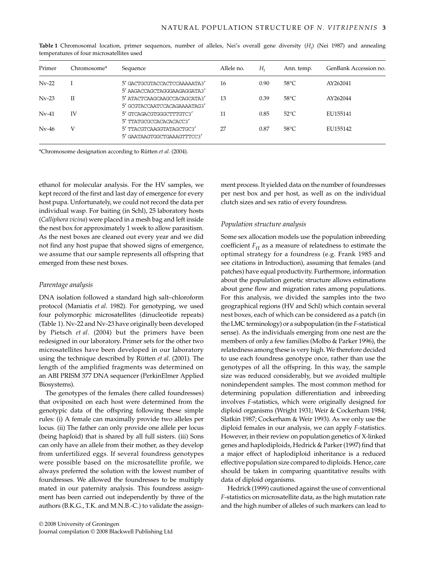| Primer  | Chromosome* | Sequence                                                     | Allele no. | Н.   | Ann. temp.     | GenBank Accession no. |
|---------|-------------|--------------------------------------------------------------|------------|------|----------------|-----------------------|
| $Nv-22$ |             | 5' GACTGCGTACCACTCCAAAAATA3'<br>5' AAGACCAGCTAGGGAAGAGGATA3' | 16         | 0.90 | $58^{\circ}$ C | AY262041              |
| $Nv-23$ | П           | 5' ATACTCAAGCAAGCCACAGCATA3'<br>5' GCGTACCAATCCACAGAAAATAG3' | 13         | 0.39 | $58^{\circ}$ C | AY262044              |
| $Nv-41$ | IV          | 5' GTCAGACGTGGGCTTTGTC3'<br>5' TTATGCGCCACACACACC3'          | 11         | 0.85 | $52^{\circ}$ C | EU155141              |
| $Nv-46$ |             | 5' TTACGTCAAGGTATAGCTGC3'<br>5' GAATAAGTGGCTGAAAGTTTCC3'     | 27         | 0.87 | $58^{\circ}$ C | EU155142              |

**Table 1** Chromosomal location, primer sequences, number of alleles, Nei's overall gene diversity (*Ht* ) (Nei 1987) and annealing temperatures of four microsatellites used

\*Chromosome designation according to Rütten *et al.* (2004).

ethanol for molecular analysis. For the HV samples, we kept record of the first and last day of emergence for every host pupa. Unfortunately, we could not record the data per individual wasp. For baiting (in Schl), 25 laboratory hosts (*Calliphora vicina*) were placed in a mesh bag and left inside the nest box for approximately 1 week to allow parasitism. As the nest boxes are cleaned out every year and we did not find any host pupae that showed signs of emergence, we assume that our sample represents all offspring that emerged from these nest boxes.

## *Parentage analysis*

DNA isolation followed a standard high salt–chloroform protocol (Maniatis *et al*. 1982). For genotyping, we used four polymorphic microsatellites (dinucleotide repeats) (Table 1). Nv-22 and Nv-23 have originally been developed by Pietsch *et al*. (2004) but the primers have been redesigned in our laboratory. Primer sets for the other two microsatellites have been developed in our laboratory using the technique described by Rütten *et al*. (2001). The length of the amplified fragments was determined on an ABI PRISM 377 DNA sequencer (PerkinElmer Applied Biosystems).

The genotypes of the females (here called foundresses) that oviposited on each host were determined from the genotypic data of the offspring following these simple rules: (i) A female can maximally provide two alleles per locus. (ii) The father can only provide one allele per locus (being haploid) that is shared by all full sisters. (iii) Sons can only have an allele from their mother, as they develop from unfertilized eggs. If several foundress genotypes were possible based on the microsatellite profile, we always preferred the solution with the lowest number of foundresses. We allowed the foundresses to be multiply mated in our paternity analysis. This foundress assignment has been carried out independently by three of the authors (B.K.G., T.K. and M.N.B.-C.) to validate the assignment process. It yielded data on the number of foundresses per nest box and per host, as well as on the individual clutch sizes and sex ratio of every foundress.

## *Population structure analysis*

Some sex allocation models use the population inbreeding coefficient  $F_{IT}$  as a measure of relatedness to estimate the optimal strategy for a foundress (e.g. Frank 1985 and see citations in Introduction), assuming that females (and patches) have equal productivity. Furthermore, information about the population genetic structure allows estimations about gene flow and migration rates among populations. For this analysis, we divided the samples into the two geographical regions (HV and Schl) which contain several nest boxes, each of which can be considered as a patch (in the LMC terminology) or a subpopulation (in the *F*-statistical sense). As the individuals emerging from one nest are the members of only a few families (Molbo & Parker 1996), the relatedness among these is very high. We therefore decided to use each foundress genotype once, rather than use the genotypes of all the offspring. In this way, the sample size was reduced considerably, but we avoided multiple nonindependent samples. The most common method for determining population differentiation and inbreeding involves *F*-statistics, which were originally designed for diploid organisms (Wright 1931; Weir & Cockerham 1984; Slatkin 1987; Cockerham & Weir 1993). As we only use the diploid females in our analysis, we can apply *F*-statistics. However, in their review on population genetics of X-linked genes and haplodiploids, Hedrick & Parker (1997) find that a major effect of haplodiploid inheritance is a reduced effective population size compared to diploids. Hence, care should be taken in comparing quantitative results with data of diploid organisms.

Hedrick (1999) cautioned against the use of conventional *F*-statistics on microsatellite data, as the high mutation rate and the high number of alleles of such markers can lead to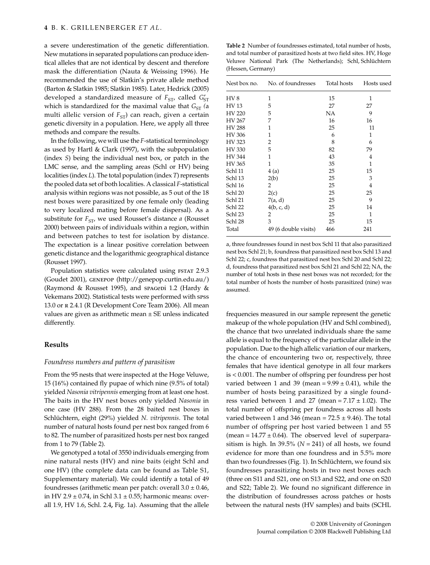a severe underestimation of the genetic differentiation. New mutations in separated populations can produce identical alleles that are not identical by descent and therefore mask the differentiation (Nauta & Weissing 1996). He recommended the use of Slatkin's private allele method (Barton & Slatkin 1985; Slatkin 1985). Later, Hedrick (2005) developed a standardized measure of  $F_{\rm ST'}$  called  $G^{\prime}_{\rm ST}$ which is standardized for the maximal value that  $G_{ST}$  (a multi allelic version of  $F_{ST}$ ) can reach, given a certain genetic diversity in a population. Here, we apply all three methods and compare the results.

In the following, we will use the *F*-statistical terminology as used by Hartl & Clark (1997), with the subpopulation (index *S*) being the individual nest box, or patch in the LMC sense, and the sampling areas (Schl or HV) being localities (index *L*). The total population (index *T*) represents the pooled data set of both localities. A classical *F*-statistical analysis within regions was not possible, as 5 out of the 18 nest boxes were parasitized by one female only (leading to very localized mating before female dispersal). As a substitute for  $F_{ST}$ , we used Rousset's distance *a* (Rousset 2000) between pairs of individuals within a region, within and between patches to test for isolation by distance. The expectation is a linear positive correlation between genetic distance and the logarithmic geographical distance (Rousset 1997).

Population statistics were calculated using FSTAT 2.9.3 (Goudet 2001), genepop [\(http://genepop.curtin.edu.au/\)](http://genepop.curtin.edu.au/) (Raymond & Rousset 1995), and spagedi 1.2 (Hardy & Vekemans 2002). Statistical tests were performed with spss 13.0 or r 2.4.1 (R Development Core Team 2006). All mean values are given as arithmetic mean  $\pm$  SE unless indicated differently.

## **Results**

#### *Foundress numbers and pattern of parasitism*

From the 95 nests that were inspected at the Hoge Veluwe, 15 (16%) contained fly pupae of which nine (9.5% of total) yielded *Nasonia vitripennis* emerging from at least one host. The baits in the HV nest boxes only yielded *Nasonia* in one case (HV 288). From the 28 baited nest boxes in Schlüchtern, eight (29%) yielded *N. vitripennis*. The total number of natural hosts found per nest box ranged from 6 to 82. The number of parasitized hosts per nest box ranged from 1 to 79 (Table 2).

We genotyped a total of 3550 individuals emerging from nine natural nests (HV) and nine baits (eight Schl and one HV) (the complete data can be found as Table S1, Supplementary material). We could identify a total of 49 foundresses (arithmetic mean per patch: overall  $3.0 \pm 0.46$ , in HV  $2.9 \pm 0.74$ , in Schl  $3.1 \pm 0.55$ ; harmonic means: overall 1.9, HV 1.6, Schl. 2.4**,** Fig. 1a). Assuming that the allele

**Table 2** Number of foundresses estimated, total number of hosts, and total number of parasitized hosts at two field sites. HV, Hoge Veluwe National Park (The Netherlands); Schl, Schlüchtern (Hessen, Germany)

| Nest box no.  | No. of foundresses   | Total hosts | Hosts used |
|---------------|----------------------|-------------|------------|
| HV 8          | 1                    | 15          | 1          |
| HV 13         | 5                    | 27          | 27         |
| HV 220        | 5                    | NΑ          | 9          |
| HV 267        | 7                    | 16          | 16         |
| <b>HV 288</b> | 1                    | 25          | 11         |
| HV 306        | 1                    | 6           | 1          |
| HV 323        | $\overline{2}$       | 8           | 6          |
| HV 330        | 5                    | 82          | 79         |
| HV 344        | 1                    | 43          | 4          |
| HV 365        | 1                    | 35          | 1          |
| Schl 11       | 4 (a)                | 25          | 15         |
| Schl 13       | 2(b)                 | 25          | 3          |
| Schl 16       | 2                    | 25          | 4          |
| Schl 20       | 2(c)                 | 25          | 25         |
| Schl 21       | 7(a, d)              | 25          | 9          |
| Schl 22       | 4(b, c, d)           | 25          | 14         |
| Schl 23       | 2                    | 25          | 1          |
| Schl 28       | 3                    | 25          | 15         |
| Total         | 49 (6 double visits) | 466         | 241        |

a, three foundresses found in nest box Schl 11 that also parasitized nest box Schl 21; b, foundress that parasitized nest box Schl 13 and Schl 22; c, foundress that parasitized nest box Schl 20 and Schl 22; d, foundress that parasitized nest box Schl 21 and Schl 22; NA, the number of total hosts in these nest boxes was not recorded; for the total number of hosts the number of hosts parasitized (nine) was assumed.

frequencies measured in our sample represent the genetic makeup of the whole population (HV and Schl combined), the chance that two unrelated individuals share the same allele is equal to the frequency of the particular allele in the population. Due to the high allelic variation of our markers, the chance of encountering two or, respectively, three females that have identical genotype in all four markers is < 0.001. The number of offspring per foundress per host varied between 1 and 39 (mean =  $9.99 \pm 0.41$ ), while the number of hosts being parasitized by a single foundress varied between 1 and 27 (mean =  $7.17 \pm 1.02$ ). The total number of offspring per foundress across all hosts varied between 1 and 346 (mean =  $72.5 \pm 9.46$ ). The total number of offspring per host varied between 1 and 55 (mean =  $14.77 \pm 0.64$ ). The observed level of superparasitism is high. In  $39.5\%$  ( $N = 241$ ) of all hosts, we found evidence for more than one foundress and in 5.5% more than two foundresses (Fig. 1). In Schlüchtern, we found six foundresses parasitizing hosts in two nest boxes each (three on S11 and S21, one on S13 and S22, and one on S20 and S22; Table 2). We found no significant difference in the distribution of foundresses across patches or hosts between the natural nests (HV samples) and baits (SCHL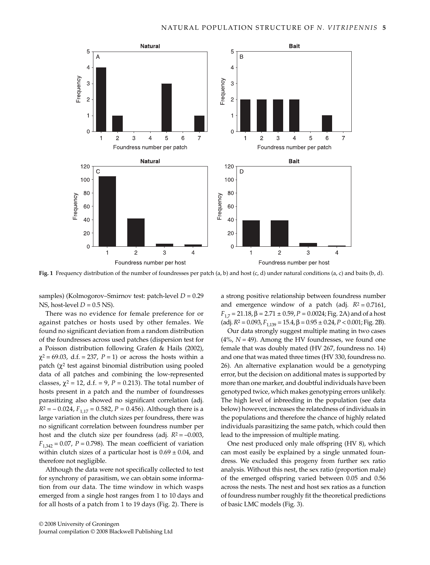

**Fig. 1** Frequency distribution of the number of foundresses per patch (a, b) and host (c, d) under natural conditions (a, c) and baits (b, d).

samples) (Kolmogorov–Smirnov test: patch-level *D* = 0.29 NS, host-level *D* = 0.5 NS).

There was no evidence for female preference for or against patches or hosts used by other females. We found no significant deviation from a random distribution of the foundresses across used patches (dispersion test for a Poisson distribution following Grafen & Hails (2002),  $\chi^2$  = 69.03, d.f. = 237, P = 1) or across the hosts within a patch  $(\chi^2)$  test against binomial distribution using pooled data of all patches and combining the low-represented classes,  $\chi^2 = 12$ , d.f. = 9, *P* = 0.213). The total number of hosts present in a patch and the number of foundresses parasitizing also showed no significant correlation (adj.  $R^2 = -0.024$ ,  $F_{1,17} = 0.582$ ,  $P = 0.456$ ). Although there is a large variation in the clutch sizes per foundress, there was no significant correlation between foundress number per host and the clutch size per foundress (adj.  $R^2 = -0.003$ ,  $F_{1,342} = 0.07$ ,  $P = 0.798$ ). The mean coefficient of variation within clutch sizes of a particular host is  $0.69 \pm 0.04$ , and therefore not negligible.

Although the data were not specifically collected to test for synchrony of parasitism, we can obtain some information from our data. The time window in which wasps emerged from a single host ranges from 1 to 10 days and for all hosts of a patch from 1 to 19 days (Fig. 2). There is a strong positive relationship between foundress number and emergence window of a patch (adj.  $R^2 = 0.7161$ , *F*<sub>1,7</sub> = 21.18, β = 2.71 ± 0.59, *P* = 0.0024; Fig. 2A) and of a host  $\text{(adj. } R^2 = 0.093, F_{1,139} = 15.4, \beta = 0.95 \pm 0.24, P < 0.001; \text{Fig. 2B).}$ 

Our data strongly suggest multiple mating in two cases  $(4\%, N = 49)$ . Among the HV foundresses, we found one female that was doubly mated (HV 267, foundress no. 14) and one that was mated three times (HV 330, foundress no. 26). An alternative explanation would be a genotyping error, but the decision on additional mates is supported by more than one marker, and doubtful individuals have been genotyped twice, which makes genotyping errors unlikely. The high level of inbreeding in the population (see data below) however, increases the relatedness of individuals in the populations and therefore the chance of highly related individuals parasitizing the same patch, which could then lead to the impression of multiple mating.

One nest produced only male offspring (HV 8), which can most easily be explained by a single unmated foundress. We excluded this progeny from further sex ratio analysis. Without this nest, the sex ratio (proportion male) of the emerged offspring varied between 0.05 and 0.56 across the nests. The nest and host sex ratios as a function of foundress number roughly fit the theoretical predictions of basic LMC models (Fig. 3).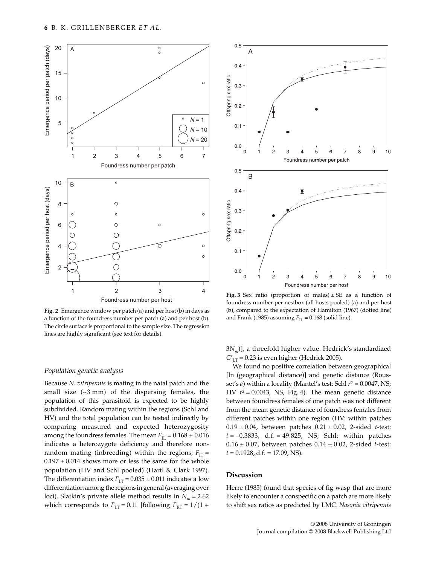

**Fig. 2** Emergence window per patch (a) and per host (b) in days as a function of the foundress number per patch (a) and per host (b). The circle surface is proportional to the sample size. The regression lines are highly significant (see text for details).

#### *Population genetic analysis*

Because *N. vitripennis* is mating in the natal patch and the small size (~3 mm) of the dispersing females, the population of this parasitoid is expected to be highly subdivided. Random mating within the regions (Schl and HV) and the total population can be tested indirectly by comparing measured and expected heterozygosity among the foundress females. The mean  $F_{\text{IL}} = 0.168 \pm 0.016$ indicates a heterozygote deficiency and therefore nonrandom mating (inbreeding) within the regions;  $F_{IT}$  =  $0.197 \pm 0.014$  shows more or less the same for the whole population (HV and Schl pooled) (Hartl & Clark 1997). The differentiation index  $F_{LT} = 0.035 \pm 0.011$  indicates a low differentiation among the regions in general (averaging over loci). Slatkin's private allele method results in  $N_m = 2.62$ which corresponds to  $F_{LT} = 0.11$  [following  $F_{RT} = 1/(1 +$ 



**Fig. 3** Sex ratio (proportion of males)  $\pm$  SE as a function of foundress number per nestbox (all hosts pooled) (a) and per host (b), compared to the expectation of Hamilton (1967) (dotted line) and Frank (1985) assuming  $F_{II} = 0.168$  (solid line).

3*Nm*)], a threefold higher value. Hedrick's standardized *G*′ LT = 0.23 is even higher (Hedrick 2005).

We found no positive correlation between geographical [ln (geographical distance)] and genetic distance (Rousset's *a*) within a locality (Mantel's test: Schl *r*<sup>2</sup> = 0.0047, NS; HV  $r^2 = 0.0043$ , NS, Fig. 4). The mean genetic distance between foundress females of one patch was not different from the mean genetic distance of foundress females from different patches within one region (HV: within patches 0.19 ± 0.04, between patches 0.21 ± 0.02, 2-sided *t*-test: *t* = –0.3833, d.f. = 49.825, NS; Schl: within patches 0.16 ± 0.07, between patches 0.14 ± 0.02, 2-sided *t*-test: *t* = 0.1928, d.f. = 17.09, NS).

# **Discussion**

Herre (1985) found that species of fig wasp that are more likely to encounter a conspecific on a patch are more likely to shift sex ratios as predicted by LMC. *Nasonia vitripennis*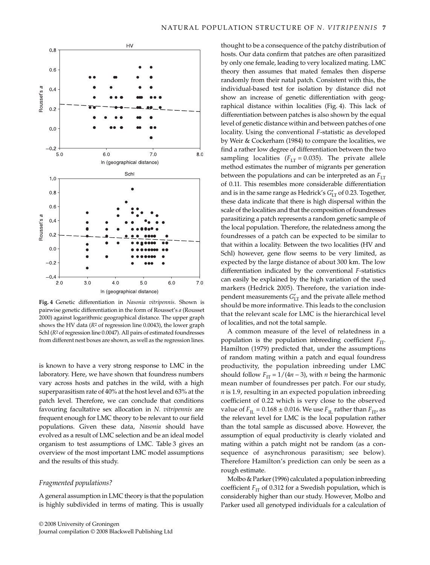

**Fig. 4** Genetic differentiation in *Nasonia vitripennis*. Shown is pairwise genetic differentiation in the form of Rousset's *a* (Rousset 2000) against logarithmic geographical distance. The upper graph shows the HV data (*R*2 of regression line 0.0043), the lower graph Schl ( $R<sup>2</sup>$  of regression line 0.0047). All pairs of estimated foundresses from different nest boxes are shown, as well as the regression lines.

is known to have a very strong response to LMC in the laboratory. Here, we have shown that foundress numbers vary across hosts and patches in the wild, with a high superparasitism rate of 40% at the host level and 63% at the patch level. Therefore, we can conclude that conditions favouring facultative sex allocation in *N. vitripennis* are frequent enough for LMC theory to be relevant to our field populations. Given these data, *Nasonia* should have evolved as a result of LMC selection and be an ideal model organism to test assumptions of LMC. Table 3 gives an overview of the most important LMC model assumptions and the results of this study.

#### *Fragmented populations?*

A general assumption in LMC theory is that the population is highly subdivided in terms of mating. This is usually thought to be a consequence of the patchy distribution of hosts. Our data confirm that patches are often parasitized by only one female, leading to very localized mating. LMC theory then assumes that mated females then disperse randomly from their natal patch. Consistent with this, the individual-based test for isolation by distance did not show an increase of genetic differentiation with geographical distance within localities (Fig. 4). This lack of differentiation between patches is also shown by the equal level of genetic distance within and between patches of one locality. Using the conventional *F*-statistic as developed by Weir & Cockerham (1984) to compare the localities, we find a rather low degree of differentiation between the two sampling localities ( $F_{LT}$  = 0.035). The private allele method estimates the number of migrants per generation between the populations and can be interpreted as an  $F_{LT}$ of 0.11. This resembles more considerable differentiation and is in the same range as Hedrick's  $G'_{LT}$  of 0.23. Together, these data indicate that there is high dispersal within the scale of the localities and that the composition of foundresses parasitizing a patch represents a random genetic sample of the local population. Therefore, the relatedness among the foundresses of a patch can be expected to be similar to that within a locality. Between the two localities (HV and Schl) however, gene flow seems to be very limited, as expected by the large distance of about 300 km. The low differentiation indicated by the conventional *F*-statistics can easily be explained by the high variation of the used markers (Hedrick 2005). Therefore, the variation independent measurements  $G'_{LT}$  and the private allele method should be more informative. This leads to the conclusion that the relevant scale for LMC is the hierarchical level of localities, and not the total sample.

A common measure of the level of relatedness in a population is the population inbreeding coefficient  $F_{\text{IT}}$ . Hamilton (1979) predicted that, under the assumptions of random mating within a patch and equal foundress productivity, the population inbreeding under LMC should follow  $F_{IT} = 1/(4n - 3)$ , with *n* being the harmonic mean number of foundresses per patch. For our study, *n* is 1.9, resulting in an expected population inbreeding coefficient of 0.22 which is very close to the observed value of  $F_{\text{IL}} = 0.168 \pm 0.016$ . We use  $F_{\text{IL}}$  rather than  $F_{\text{IT}}$ , as the relevant level for LMC is the local population rather than the total sample as discussed above. However, the assumption of equal productivity is clearly violated and mating within a patch might not be random (as a consequence of asynchronous parasitism; see below). Therefore Hamilton's prediction can only be seen as a rough estimate.

Molbo & Parker (1996) calculated a population inbreeding coefficient  $F_{\text{IT}}$  of 0.312 for a Swedish population, which is considerably higher than our study. However, Molbo and Parker used all genotyped individuals for a calculation of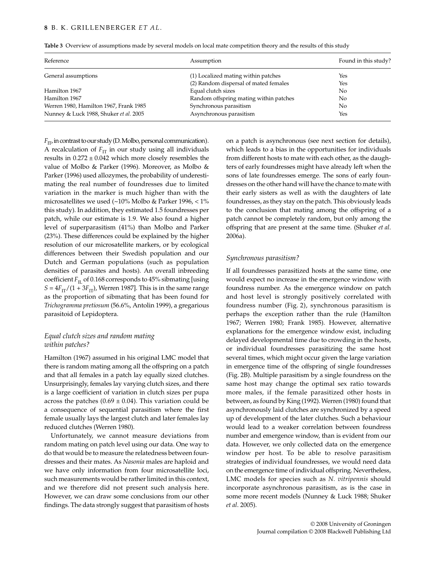#### **8** B. K. GRILLENBERGER *ET AL*.

| Reference                              | Assumption                             | Found in this study? |
|----------------------------------------|----------------------------------------|----------------------|
| General assumptions                    | (1) Localized mating within patches    | Yes                  |
|                                        | (2) Random dispersal of mated females  | Yes                  |
| Hamilton 1967                          | Equal clutch sizes                     | No                   |
| Hamilton 1967                          | Random offspring mating within patches | No                   |
| Werren 1980, Hamilton 1967, Frank 1985 | Synchronous parasitism                 | N <sub>o</sub>       |
| Nunney & Luck 1988, Shuker et al. 2005 | Asynchronous parasitism                | Yes                  |

**Table 3** Overview of assumptions made by several models on local mate competition theory and the results of this study

*F*<sub>IT</sub>, in contrast to our study (D. Molbo, personal communication). A recalculation of  $F_{IT}$  in our study using all individuals results in  $0.272 \pm 0.042$  which more closely resembles the value of Molbo & Parker (1996). Moreover, as Molbo & Parker (1996) used allozymes, the probability of underestimating the real number of foundresses due to limited variation in the marker is much higher than with the microsatellites we used (~10% Molbo & Parker 1996, < 1% this study). In addition, they estimated 1.5 foundresses per patch, while our estimate is 1.9. We also found a higher level of superparasitism (41%) than Molbo and Parker (23%). These differences could be explained by the higher resolution of our microsatellite markers, or by ecological differences between their Swedish population and our Dutch and German populations (such as population densities of parasites and hosts). An overall inbreeding coefficient  $F_{\text{IL}}$  of 0.168 corresponds to 45% sibmating [using  $S = 4F_{\text{IT}}/(1 + 3F_{\text{IT}})$ , Werren 1987]. This is in the same range as the proportion of sibmating that has been found for *Trichogramma pretiosum* (56.6%, Antolin 1999), a gregarious parasitoid of Lepidoptera.

## *Equal clutch sizes and random mating within patches?*

Hamilton (1967) assumed in his original LMC model that there is random mating among all the offspring on a patch and that all females in a patch lay equally sized clutches. Unsurprisingly, females lay varying clutch sizes, and there is a large coefficient of variation in clutch sizes per pupa across the patches  $(0.69 \pm 0.04)$ . This variation could be a consequence of sequential parasitism where the first female usually lays the largest clutch and later females lay reduced clutches (Werren 1980).

Unfortunately, we cannot measure deviations from random mating on patch level using our data. One way to do that would be to measure the relatedness between foundresses and their mates. As *Nasonia* males are haploid and we have only information from four microsatellite loci, such measurements would be rather limited in this context, and we therefore did not present such analysis here. However, we can draw some conclusions from our other findings. The data strongly suggest that parasitism of hosts on a patch is asynchronous (see next section for details), which leads to a bias in the opportunities for individuals from different hosts to mate with each other, as the daughters of early foundresses might have already left when the sons of late foundresses emerge. The sons of early foundresses on the other hand will have the chance to mate with their early sisters as well as with the daughters of late foundresses, as they stay on the patch. This obviously leads to the conclusion that mating among the offspring of a patch cannot be completely random, but only among the offspring that are present at the same time. (Shuker *et al*. 2006a).

#### *Synchronous parasitism?*

If all foundresses parasitized hosts at the same time, one would expect no increase in the emergence window with foundress number. As the emergence window on patch and host level is strongly positively correlated with foundress number (Fig. 2), synchronous parasitism is perhaps the exception rather than the rule (Hamilton 1967; Werren 1980; Frank 1985). However, alternative explanations for the emergence window exist, including delayed developmental time due to crowding in the hosts, or individual foundresses parasitizing the same host several times, which might occur given the large variation in emergence time of the offspring of single foundresses (Fig. 2B). Multiple parasitism by a single foundress on the same host may change the optimal sex ratio towards more males, if the female parasitized other hosts in between, as found by King (1992). Werren (1980) found that asynchronously laid clutches are synchronized by a speed up of development of the later clutches. Such a behaviour would lead to a weaker correlation between foundress number and emergence window, than is evident from our data. However, we only collected data on the emergence window per host. To be able to resolve parasitism strategies of individual foundresses, we would need data on the emergence time of individual offspring. Nevertheless, LMC models for species such as *N. vitripennis* should incorporate asynchronous parasitism, as is the case in some more recent models (Nunney & Luck 1988; Shuker *et al*. 2005).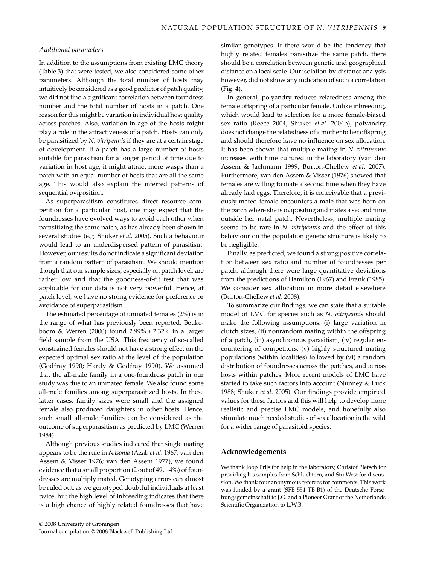#### *Additional parameters*

In addition to the assumptions from existing LMC theory (Table 3) that were tested, we also considered some other parameters. Although the total number of hosts may intuitively be considered as a good predictor of patch quality, we did not find a significant correlation between foundress number and the total number of hosts in a patch. One reason for this might be variation in individual host quality across patches. Also, variation in age of the hosts might play a role in the attractiveness of a patch. Hosts can only be parasitized by *N. vitripennis* if they are at a certain stage of development. If a patch has a large number of hosts suitable for parasitism for a longer period of time due to variation in host age, it might attract more wasps than a patch with an equal number of hosts that are all the same age. This would also explain the inferred patterns of sequential oviposition.

As superparasitism constitutes direct resource competition for a particular host, one may expect that the foundresses have evolved ways to avoid each other when parasitizing the same patch, as has already been shown in several studies (e.g. Shuker *et al*. 2005). Such a behaviour would lead to an underdispersed pattern of parasitism. However, our results do not indicate a significant deviation from a random pattern of parasitism. We should mention though that our sample sizes, especially on patch level, are rather low and that the goodness-of-fit test that was applicable for our data is not very powerful. Hence, at patch level, we have no strong evidence for preference or avoidance of superparasitism.

The estimated percentage of unmated females (2%) is in the range of what has previously been reported: Beukeboom & Werren (2000) found 2.99% ± 2.32% in a larger field sample from the USA. This frequency of so-called constrained females should not have a strong effect on the expected optimal sex ratio at the level of the population (Godfray 1990; Hardy & Godfray 1990). We assumed that the all-male family in a one-foundress patch in our study was due to an unmated female. We also found some all-male families among superparasitized hosts. In these latter cases, family sizes were small and the assigned female also produced daughters in other hosts. Hence, such small all-male families can be considered as the outcome of superparasitism as predicted by LMC (Werren 1984).

Although previous studies indicated that single mating appears to be the rule in *Nasonia* (Azab *et al*. 1967; van den Assem & Visser 1976; van den Assem 1977), we found evidence that a small proportion (2 out of 49, ~4%) of foundresses are multiply mated. Genotyping errors can almost be ruled out, as we genotyped doubtful individuals at least twice, but the high level of inbreeding indicates that there is a high chance of highly related foundresses that have similar genotypes. If there would be the tendency that highly related females parasitize the same patch, there should be a correlation between genetic and geographical distance on a local scale. Our isolation-by-distance analysis however, did not show any indication of such a correlation (Fig. 4).

In general, polyandry reduces relatedness among the female offspring of a particular female. Unlike inbreeding, which would lead to selection for a more female-biased sex ratio (Reece 2004; Shuker *et al*. 2004b), polyandry does not change the relatedness of a mother to her offspring and should therefore have no influence on sex allocation. It has been shown that multiple mating in *N. vitripennis* increases with time cultured in the laboratory (van den Assem & Jachmann 1999; Burton-Chellew *et al*. 2007). Furthermore, van den Assem & Visser (1976) showed that females are willing to mate a second time when they have already laid eggs. Therefore, it is conceivable that a previously mated female encounters a male that was born on the patch where she is ovipositing and mates a second time outside her natal patch. Nevertheless, multiple mating seems to be rare in *N. vitripennis* and the effect of this behaviour on the population genetic structure is likely to be negligible.

Finally, as predicted, we found a strong positive correlation between sex ratio and number of foundresses per patch, although there were large quantitative deviations from the predictions of Hamilton (1967) and Frank (1985). We consider sex allocation in more detail elsewhere (Burton-Chellew *et al*. 2008).

To summarize our findings, we can state that a suitable model of LMC for species such as *N. vitripennis* should make the following assumptions: (i) large variation in clutch sizes, (ii) nonrandom mating within the offspring of a patch, (iii) asynchronous parasitism, (iv) regular encountering of competitors, (v) highly structured mating populations (within localities) followed by (vi) a random distribution of foundresses across the patches, and across hosts within patches. More recent models of LMC have started to take such factors into account (Nunney & Luck 1988; Shuker *et al*. 2005). Our findings provide empirical values for these factors and this will help to develop more realistic and precise LMC models, and hopefully also stimulate much needed studies of sex allocation in the wild for a wider range of parasitoid species.

#### **Acknowledgements**

We thank Joop Prijs for help in the laboratory, Christof Pietsch for providing his samples from Schlüchtern, and Stu West for discussion. We thank four anonymous referees for comments. This work was funded by a grant (SFB 554 TB-B1) of the Deutsche Forschungsgemeinschaft to J.G. and a Pioneer Grant of the Netherlands Scientific Organization to L.W.B.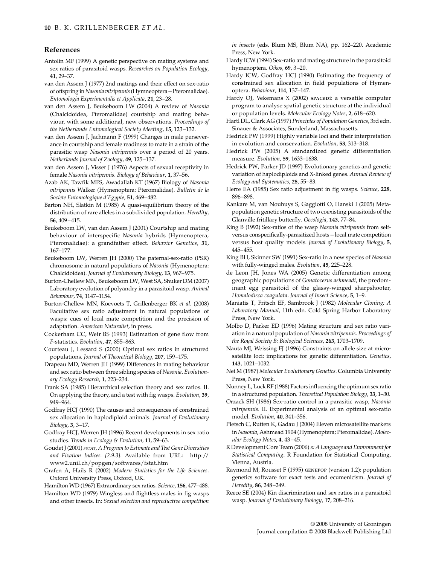#### **References**

- Antolin MF (1999) A genetic perspective on mating systems and sex ratios of parasitoid wasps. *Researches on Population Ecology*, **41**, 29–37.
- van den Assem J (1977) 2nd matings and their effect on sex-ratio of offspring in *Nasonia vitripennis* (Hymneoptera — Pteromalidae). *Entomologia Experimentalis et Applicata*, **21**, 23–28.
- van den Assem J, Beukeboom LW (2004) A review of *Nasonia* (Chalcidoidea, Pteromalidae) courtship and mating behaviour, with some additional, new observations. *Proceedings of the Netherlands Entomological Society Meeting*, **15**, 123–132.
- van den Assem J, Jachmann F (1999) Changes in male perseverance in courtship and female readiness to mate in a strain of the parasitic wasp *Nasonia vitripennis* over a period of 20 years. *Netherlands Journal of Zoology*, **49**, 125–137.
- van den Assem J, Visser J (1976) Aspects of sexual receptivity in female *Nasonia vitripennis*. *Biology of Behaviour*, **1**, 37–56.
- Azab AK, Tawfik MFS, Awadallah KT (1967) Biology of *Nasonia vitripennis* Walker (Hymenoptera: Pteromalidae). *Bulletin de la Societe Entomologique d'Egypte*, **51**, 469–482.
- Barton NH, Slatkin M (1985) A quasi-equilibrium theory of the distribution of rare alleles in a subdivided population. *Heredity*, **56**, 409–415.
- Beukeboom LW, van den Assem J (2001) Courtship and mating behaviour of interspecific *Nasonia* hybrids (Hymenoptera, Pteromalidae): a grandfather effect. *Behavior Genetics*, **31**, 167–177.
- Beukeboom LW, Werren JH (2000) The paternal-sex-ratio (PSR) chromosome in natural populations of *Nasonia* (Hymenoptera: Chalcidoidea). *Journal of Evolutionary Biology*, **13**, 967–975.
- Burton-Chellew MN, Beukeboom LW, West SA, Shuker DM (2007) Laboratory evolution of polyandry in a parasitoid wasp. *Animal Behaviour*, **74**, 1147–1154.
- Burton-Chellew MN, Koevoets T, Grillenberger BK *et al*. (2008) Facultative sex ratio adjustment in natural populations of wasps: cues of local mate competition and the precision of adaptation. *American Naturalist*, in press.
- Cockerham CC, Weir BS (1993) Estimation of gene flow from *F*-statistics. *Evolution*, **47**, 855–863.
- Courteau J, Lessard S (2000) Optimal sex ratios in structured populations. *Journal of Theoretical Biology*, **207**, 159–175.
- Drapeau MD, Werren JH (1999) Differences in mating behaviour and sex ratio between three sibling species of *Nasonia*. *Evolutionary Ecology Research*, **1**, 223–234.
- Frank SA (1985) Hierarchical selection theory and sex ratios. II. On applying the theory, and a test with fig wasps. *Evolution*, **39**, 949–964.
- Godfray HCJ (1990) The causes and consequences of constrained sex allocation in haplodiploid animals. *Journal of Evolutionary Biology*, **3**, 3–17.
- Godfray HCJ, Werren JH (1996) Recent developments in sex ratio studies. *Trends in Ecology & Evolution*, **11**, 59–63.
- Goudet J (2001) *FSTAT, A Program to Estimate and Test Gene Diversities and Fixation Indices. [2.9.3]*. Available from URL: http:// [www2.unil.ch/popgen/softwares/fstat.htm](http://www2.unil.ch/popgen/softwares/fstat.htm)
- Grafen A, Hails R (2002) *Modern Statistics for the Life Sciences*. Oxford University Press, Oxford, UK.
- Hamilton WD (1967) Extraordinary sex ratios. *Science*, **156**, 477–488.
- Hamilton WD (1979) Wingless and flightless males in fig wasps and other insects. In: *Sexual selection and reproductive competition*

*in insects* (eds. Blum MS, Blum NA), pp. 162–220. Academic Press, New York.

- Hardy ICW (1994) Sex-ratio and mating structure in the parasitoid hymenoptera. *Oikos*, **69**, 3–20.
- Hardy ICW, Godfray HCJ (1990) Estimating the frequency of constrained sex allocation in field populations of Hymenoptera. *Behaviour*, **114**, 137–147.
- Hardy OJ, Vekemans X (2002) spagedi: a versatile computer program to analyse spatial genetic structure at the individual or population levels. *Molecular Ecology Notes*, **2**, 618–620.
- Hartl DL, Clark AG (1997) *Principles of Population Genetics*, 3rd edn. Sinauer & Associates, Sunderland, Massachusetts.
- Hedrick PW (1999) Highly variable loci and their interpretation in evolution and conservation. *Evolution*, **53**, 313–318.
- Hedrick PW (2005) A standardized genetic differentiation measure. *Evolution*, **59**, 1633–1638.
- Hedrick PW, Parker JD (1997) Evolutionary genetics and genetic variation of haplodiploids and X-linked genes. *Annual Review of Ecology and Systematics*, **28**, 55–83.
- Herre EA (1985) Sex ratio adjustment in fig wasps. *Science*, **228**, 896–898.
- Kankare M, van Nouhuys S, Gaggiotti O, Hanski I (2005) Metapopulation genetic structure of two coexisting parasitoids of the Glanville fritillary butterfly. *Oecologia*, **143**, 77–84.
- King B (1992) Sex-ratios of the wasp *Nasonia vitripennis* from selfversus conspecifically-parasitized hosts — local mate competition versus host quality models. *Journal of Evolutionary Biology*, **5**, 445–455.
- King BH, Skinner SW (1991) Sex-ratio in a new species of *Nasonia* with fully-winged males. *Evolution*, **45**, 225–228.
- de Leon JH, Jones WA (2005) Genetic differentiation among geographic populations of *Gonatocerus ashmeadi*, the predominant egg parasitoid of the glassy-winged sharpshooter, *Homalodisca coagulata*. *Journal of Insect Science*, **5**, 1–9.
- Maniatis T, Fritsch EF, Sambrook J (1982) *Molecular Cloning: A Laboratory Manual*, 11th edn. Cold Spring Harbor Laboratory Press, New York.
- Molbo D, Parker ED (1996) Mating structure and sex ratio variation in a natural population of *Nasonia vitripennis*. *Proceedings of the Royal Society B: Biological Sciences*, **263**, 1703–1709.
- Nauta MJ, Weissing FJ (1996) Constraints on allele size at microsatellite loci: implications for genetic differentiation. *Genetics*, **143**, 1021–1032.
- Nei M (1987) *Molecular Evolutionary Genetics*. Columbia University Press, New York.
- Nunney L, Luck RF (1988) Factors influencing the optimum sex ratio in a structured population. *Theoretical Population Biology*, **33**, 1–30.
- Orzack SH (1986) Sex-ratio control in a parasitic wasp, *Nasonia vitripennis*. II. Experimental analysis of an optimal sex-ratio model. *Evolution*, **40**, 341–356.
- Pietsch C, Rutten K, Gadau J (2004) Eleven microsatellite markers in *Nasonia*, Ashmead 1904 (Hymenoptera; Pteromalidae). *Molecular Ecology Notes*, **4**, 43–45.
- R Development Core Team (2006) *R: A Language and Environment for Statistical Computing*. R Foundation for Statistical Computing, Vienna, Austria.
- Raymond M, Rousset F (1995) genepop (version 1.2): population genetics software for exact tests and ecumenicism. *Journal of Heredity*, **86**, 248–249.
- Reece SE (2004) Kin discrimination and sex ratios in a parasitoid wasp. *Journal of Evolutionary Biology*, **17**, 208–216.